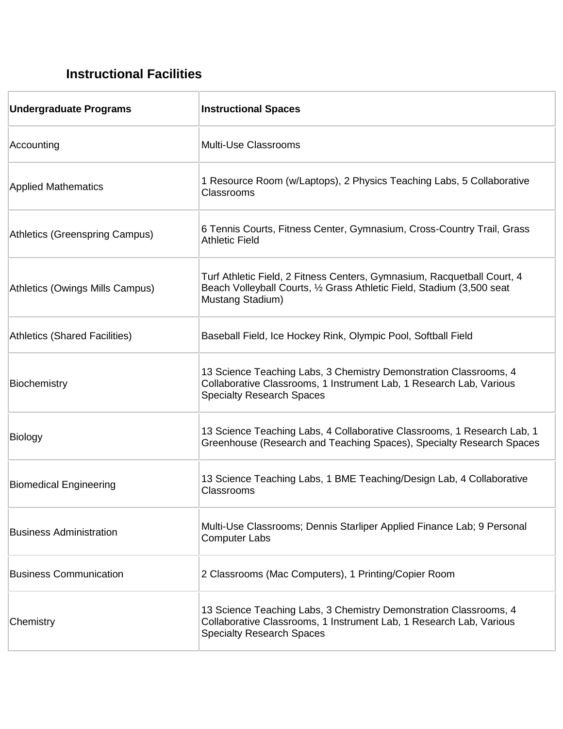## **Instructional Facilities**

| <b>Undergraduate Programs</b>        | <b>Instructional Spaces</b>                                                                                                                                                  |
|--------------------------------------|------------------------------------------------------------------------------------------------------------------------------------------------------------------------------|
| Accounting                           | Multi-Use Classrooms                                                                                                                                                         |
| <b>Applied Mathematics</b>           | 1 Resource Room (w/Laptops), 2 Physics Teaching Labs, 5 Collaborative<br>Classrooms                                                                                          |
| Athletics (Greenspring Campus)       | 6 Tennis Courts, Fitness Center, Gymnasium, Cross-Country Trail, Grass<br><b>Athletic Field</b>                                                                              |
| Athletics (Owings Mills Campus)      | Turf Athletic Field, 2 Fitness Centers, Gymnasium, Racquetball Court, 4<br>Beach Volleyball Courts, 1/2 Grass Athletic Field, Stadium (3,500 seat<br>Mustang Stadium)        |
| <b>Athletics (Shared Facilities)</b> | Baseball Field, Ice Hockey Rink, Olympic Pool, Softball Field                                                                                                                |
| Biochemistry                         | 13 Science Teaching Labs, 3 Chemistry Demonstration Classrooms, 4<br>Collaborative Classrooms, 1 Instrument Lab, 1 Research Lab, Various<br><b>Specialty Research Spaces</b> |
| Biology                              | 13 Science Teaching Labs, 4 Collaborative Classrooms, 1 Research Lab, 1<br>Greenhouse (Research and Teaching Spaces), Specialty Research Spaces                              |
| <b>Biomedical Engineering</b>        | 13 Science Teaching Labs, 1 BME Teaching/Design Lab, 4 Collaborative<br>Classrooms                                                                                           |
| <b>Business Administration</b>       | Multi-Use Classrooms; Dennis Starliper Applied Finance Lab; 9 Personal<br><b>Computer Labs</b>                                                                               |
| <b>Business Communication</b>        | 2 Classrooms (Mac Computers), 1 Printing/Copier Room                                                                                                                         |
| Chemistry                            | 13 Science Teaching Labs, 3 Chemistry Demonstration Classrooms, 4<br>Collaborative Classrooms, 1 Instrument Lab, 1 Research Lab, Various<br><b>Specialty Research Spaces</b> |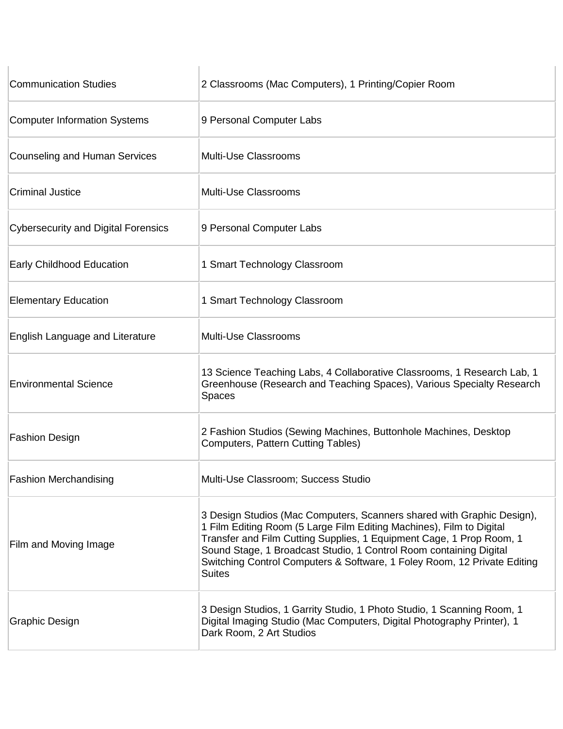| <b>Communication Studies</b>               | 2 Classrooms (Mac Computers), 1 Printing/Copier Room                                                                                                                                                                                                                                                                                                                                      |
|--------------------------------------------|-------------------------------------------------------------------------------------------------------------------------------------------------------------------------------------------------------------------------------------------------------------------------------------------------------------------------------------------------------------------------------------------|
| <b>Computer Information Systems</b>        | 9 Personal Computer Labs                                                                                                                                                                                                                                                                                                                                                                  |
| Counseling and Human Services              | <b>Multi-Use Classrooms</b>                                                                                                                                                                                                                                                                                                                                                               |
| <b>Criminal Justice</b>                    | <b>Multi-Use Classrooms</b>                                                                                                                                                                                                                                                                                                                                                               |
| <b>Cybersecurity and Digital Forensics</b> | 9 Personal Computer Labs                                                                                                                                                                                                                                                                                                                                                                  |
| <b>Early Childhood Education</b>           | 1 Smart Technology Classroom                                                                                                                                                                                                                                                                                                                                                              |
| <b>Elementary Education</b>                | 1 Smart Technology Classroom                                                                                                                                                                                                                                                                                                                                                              |
| English Language and Literature            | <b>Multi-Use Classrooms</b>                                                                                                                                                                                                                                                                                                                                                               |
| <b>Environmental Science</b>               | 13 Science Teaching Labs, 4 Collaborative Classrooms, 1 Research Lab, 1<br>Greenhouse (Research and Teaching Spaces), Various Specialty Research<br><b>Spaces</b>                                                                                                                                                                                                                         |
| <b>Fashion Design</b>                      | 2 Fashion Studios (Sewing Machines, Buttonhole Machines, Desktop<br><b>Computers, Pattern Cutting Tables)</b>                                                                                                                                                                                                                                                                             |
| <b>Fashion Merchandising</b>               | Multi-Use Classroom; Success Studio                                                                                                                                                                                                                                                                                                                                                       |
| Film and Moving Image                      | 3 Design Studios (Mac Computers, Scanners shared with Graphic Design),<br>1 Film Editing Room (5 Large Film Editing Machines), Film to Digital<br>Transfer and Film Cutting Supplies, 1 Equipment Cage, 1 Prop Room, 1<br>Sound Stage, 1 Broadcast Studio, 1 Control Room containing Digital<br>Switching Control Computers & Software, 1 Foley Room, 12 Private Editing<br><b>Suites</b> |
| Graphic Design                             | 3 Design Studios, 1 Garrity Studio, 1 Photo Studio, 1 Scanning Room, 1<br>Digital Imaging Studio (Mac Computers, Digital Photography Printer), 1<br>Dark Room, 2 Art Studios                                                                                                                                                                                                              |